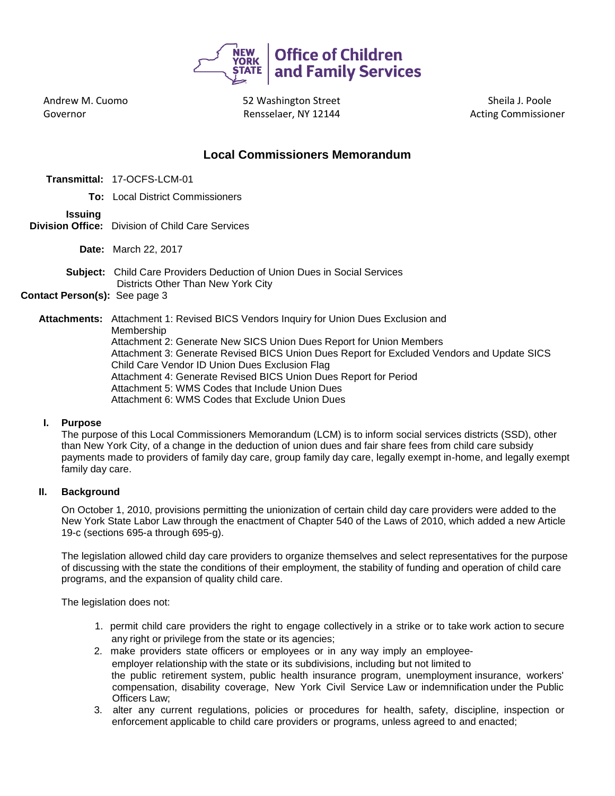

Andrew M. Cuomo Governor

 52 Washington Street Rensselaer, NY 12144 **Markon and Acting Commissioner** 

Sheila J. Poole

# **Local Commissioners Memorandum**

- **Transmittal:** 17-OCFS-LCM-01
	- **To:** Local District Commissioners

# **Issuing**

- **Division Office:** Division of Child Care Services
	- **Date:** March 22, 2017
	- **Subject:** Child Care Providers Deduction of Union Dues in Social Services Districts Other Than New York City

# **Contact Person(s):** See page 3

**Attachments:** Attachment 1: Revised BICS Vendors Inquiry for Union Dues Exclusion and Membership

Attachment 2: Generate New SICS Union Dues Report for Union Members Attachment 3: Generate Revised BICS Union Dues Report for Excluded Vendors and Update SICS Child Care Vendor ID Union Dues Exclusion Flag Attachment 4: Generate Revised BICS Union Dues Report for Period Attachment 5: WMS Codes that Include Union Dues Attachment 6: WMS Codes that Exclude Union Dues

### **I. Purpose**

The purpose of this Local Commissioners Memorandum (LCM) is to inform social services districts (SSD), other than New York City, of a change in the deduction of union dues and fair share fees from child care subsidy payments made to providers of family day care, group family day care, legally exempt in-home, and legally exempt family day care.

## **II. Background**

On October 1, 2010, provisions permitting the unionization of certain child day care providers were added to the New York State Labor Law through the enactment of Chapter 540 of the Laws of 2010, which added a new Article 19-c (sections 695-a through 695-g).

The legislation allowed child day care providers to organize themselves and select representatives for the purpose of discussing with the state the conditions of their employment, the stability of funding and operation of child care programs, and the expansion of quality child care.

The legislation does not:

- 1. permit child care providers the right to engage collectively in a strike or to take work action to secure any right or privilege from the state or its agencies;
- 2. make providers state officers or employees or in any way imply an employeeemployer relationship with the state or its subdivisions, including but not limited to the public retirement system, public health insurance program, unemployment insurance, workers' compensation, disability coverage, New York Civil Service Law or indemnification under the Public Officers Law;
- 3. alter any current regulations, policies or procedures for health, safety, discipline, inspection or enforcement applicable to child care providers or programs, unless agreed to and enacted;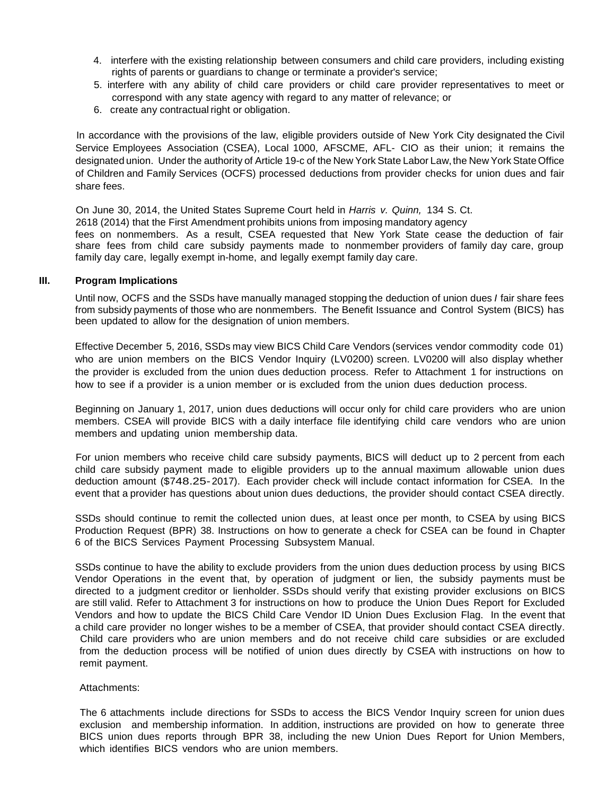- 4. interfere with the existing relationship between consumers and child care providers, including existing rights of parents or guardians to change or terminate a provider's service;
- 5. interfere with any ability of child care providers or child care provider representatives to meet or correspond with any state agency with regard to any matter of relevance; or
- 6. create any contractual right or obligation.

In accordance with the provisions of the law, eligible providers outside of New York City designated the Civil Service Employees Association (CSEA), Local 1000, AFSCME, AFL- CIO as their union; it remains the designated union. Under the authority of Article 19-c of the New York State Labor Law,the New York State Office of Children and Family Services (OCFS) processed deductions from provider checks for union dues and fair share fees.

On June 30, 2014, the United States Supreme Court held in *Harris v. Quinn,* 134 S. Ct. 2618 (2014) that the First Amendment prohibits unions from imposing mandatory agency fees on nonmembers. As a result, CSEA requested that New York State cease the deduction of fair share fees from child care subsidy payments made to nonmember providers of family day care, group family day care, legally exempt in-home, and legally exempt family day care.

#### **III. Program Implications**

Until now, OCFS and the SSDs have manually managed stopping the deduction of union dues *I* fair share fees from subsidy payments of those who are nonmembers. The Benefit Issuance and Control System (BICS) has been updated to allow for the designation of union members.

Effective December 5, 2016, SSDs may view BICS Child Care Vendors (services vendor commodity code 01) who are union members on the BICS Vendor Inquiry (LV0200) screen. LV0200 will also display whether the provider is excluded from the union dues deduction process. Refer to Attachment 1 for instructions on how to see if a provider is a union member or is excluded from the union dues deduction process.

Beginning on January 1, 2017, union dues deductions will occur only for child care providers who are union members. CSEA will provide BICS with a daily interface file identifying child care vendors who are union members and updating union membership data.

For union members who receive child care subsidy payments, BICS will deduct up to 2 percent from each child care subsidy payment made to eligible providers up to the annual maximum allowable union dues deduction amount (\$748.25-2017). Each provider check will include contact information for CSEA. In the event that a provider has questions about union dues deductions, the provider should contact CSEA directly.

SSDs should continue to remit the collected union dues, at least once per month, to CSEA by using BICS Production Request (BPR) 38. Instructions on how to generate a check for CSEA can be found in Chapter 6 of the BICS Services Payment Processing Subsystem Manual.

SSDs continue to have the ability to exclude providers from the union dues deduction process by using BICS Vendor Operations in the event that, by operation of judgment or lien, the subsidy payments must be directed to a judgment creditor or lienholder. SSDs should verify that existing provider exclusions on BICS are still valid. Refer to Attachment 3 for instructions on how to produce the Union Dues Report for Excluded Vendors and how to update the BICS Child Care Vendor ID Union Dues Exclusion Flag. In the event that a child care provider no longer wishes to be a member of CSEA, that provider should contact CSEA directly. Child care providers who are union members and do not receive child care subsidies or are excluded from the deduction process will be notified of union dues directly by CSEA with instructions on how to remit payment.

### Attachments:

The 6 attachments include directions for SSDs to access the BICS Vendor Inquiry screen for union dues exclusion and membership information. In addition, instructions are provided on how to generate three BICS union dues reports through BPR 38, including the new Union Dues Report for Union Members, which identifies BICS vendors who are union members.